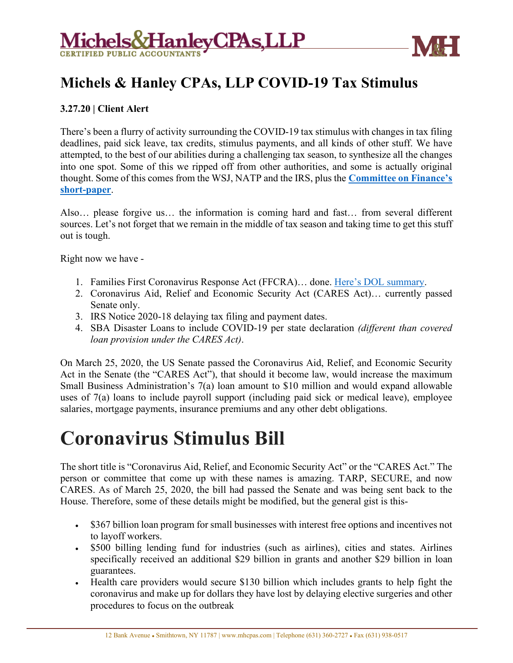



## **Michels & Hanley CPAs, LLP COVID-19 Tax Stimulus**

#### **3.27.20 | Client Alert**

There's been a flurry of activity surrounding the COVID-19 tax stimulus with changes in tax filing deadlines, paid sick leave, tax credits, stimulus payments, and all kinds of other stuff. We have attempted, to the best of our abilities during a challenging tax season, to synthesize all the changes into one spot. Some of this we ripped off from other authorities, and some is actually original thought. Some of this comes from the WSJ, NATP and the IRS, plus the **[Committee on Finance's](https://www.finance.senate.gov/imo/media/doc/CARES%20Act%20Section-by-Section%20(Tax,%20Unemployment%20Insurance).pdf)  [short-paper](https://www.finance.senate.gov/imo/media/doc/CARES%20Act%20Section-by-Section%20(Tax,%20Unemployment%20Insurance).pdf)**.

Also… please forgive us… the information is coming hard and fast… from several different sources. Let's not forget that we remain in the middle of tax season and taking time to get this stuff out is tough.

Right now we have -

- 1. Families First Coronavirus Response Act (FFCRA)… done. [Here's DOL summary.](https://www.dol.gov/agencies/whd/pandemic/ffcra-employer-paid-leave)
- 2. Coronavirus Aid, Relief and Economic Security Act (CARES Act)… currently passed Senate only.
- 3. [IRS Notice 2020-18](https://www.irs.gov/pub/irs-drop/n-20-18.pdf) delaying tax filing and payment dates.
- 4. [SBA Disaster Loans](https://wcginc.com/blog/sba-disaster-loan/) to include COVID-19 per state declaration *(different than covered loan provision under the CARES Act)*.

On March 25, 2020, the US Senate passed the Coronavirus Aid, Relief, and Economic Security Act in the Senate (the "CARES Act"), that should it become law, would increase the maximum Small Business Administration's 7(a) loan amount to \$10 million and would expand allowable uses of 7(a) loans to include payroll support (including paid sick or medical leave), employee salaries, mortgage payments, insurance premiums and any other debt obligations.

## **Coronavirus Stimulus Bill**

The short title is "Coronavirus Aid, Relief, and Economic Security Act" or the "CARES Act." The person or committee that come up with these names is amazing. TARP, SECURE, and now CARES. As of March 25, 2020, the bill had passed the Senate and was being sent back to the House. Therefore, some of these details might be modified, but the general gist is this-

- \$367 billion loan program for small businesses with interest free options and incentives not to layoff workers.
- \$500 billing lending fund for industries (such as airlines), cities and states. Airlines specifically received an additional \$29 billion in grants and another \$29 billion in loan guarantees.
- Health care providers would secure \$130 billion which includes grants to help fight the coronavirus and make up for dollars they have lost by delaying elective surgeries and other procedures to focus on the outbreak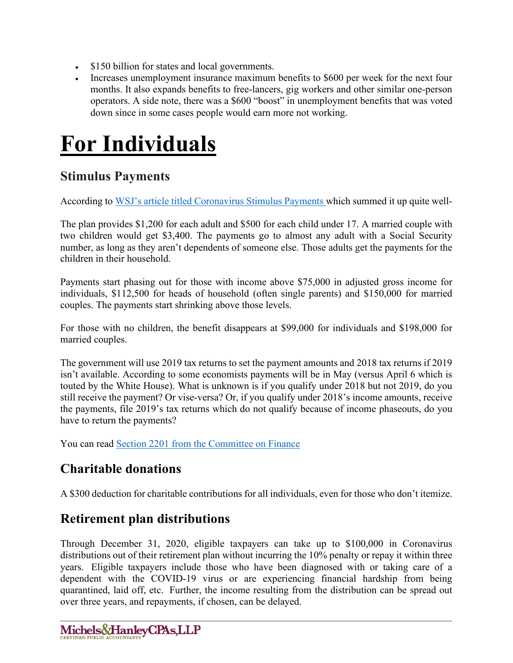- \$150 billion for states and local governments.
- Increases unemployment insurance maximum benefits to \$600 per week for the next four months. It also expands benefits to free-lancers, gig workers and other similar one-person operators. A side note, there was a \$600 "boost" in unemployment benefits that was voted down since in some cases people would earn more not working.

# **For Individuals**

## **Stimulus Payments**

According to [WSJ's article titled Coronavirus Stimulus Payments](https://www.wsj.com/articles/everything-you-need-to-know-about-the-payments-from-the-government-11585229988) which summed it up quite well-

The plan provides \$1,200 for each adult and \$500 for each child under 17. A married couple with two children would get \$3,400. The payments go to almost any adult with a Social Security number, as long as they aren't dependents of someone else. Those adults get the payments for the children in their household.

Payments start phasing out for those with income above \$75,000 in adjusted gross income for individuals, \$112,500 for heads of household (often single parents) and \$150,000 for married couples. The payments start shrinking above those levels.

For those with no children, the benefit disappears at \$99,000 for individuals and \$198,000 for married couples.

The government will use 2019 tax returns to set the payment amounts and 2018 tax returns if 2019 isn't available. According to some economists payments will be in May (versus April 6 which is touted by the White House). What is unknown is if you qualify under 2018 but not 2019, do you still receive the payment? Or vise-versa? Or, if you qualify under 2018's income amounts, receive the payments, file 2019's tax returns which do not qualify because of income phaseouts, do you have to return the payments?

You can read [Section 2201 from the Committee on Finance](https://www.finance.senate.gov/imo/media/doc/CARES%20Act%20Section-by-Section%20(Tax,%20Unemployment%20Insurance).pdf)

## **Charitable donations**

A \$300 deduction for charitable contributions for all individuals, even for those who don't itemize.

## **Retirement plan distributions**

Through December 31, 2020, eligible taxpayers can take up to \$100,000 in Coronavirus distributions out of their retirement plan without incurring the 10% penalty or repay it within three years. Eligible taxpayers include those who have been diagnosed with or taking care of a dependent with the COVID-19 virus or are experiencing financial hardship from being quarantined, laid off, etc. Further, the income resulting from the distribution can be spread out over three years, and repayments, if chosen, can be delayed.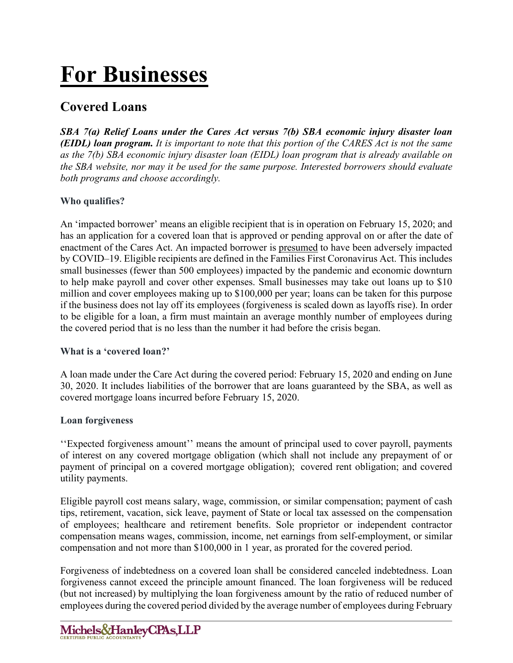# **For Businesses**

## **Covered Loans**

*SBA 7(a) Relief Loans under the Cares Act versus 7(b) SBA economic injury disaster loan (EIDL) loan program. It is important to note that this portion of the CARES Act is not the same as the 7(b) SBA economic injury disaster loan (EIDL) loan program that is already available on the SBA website, nor may it be used for the same purpose. Interested borrowers should evaluate both programs and choose accordingly.*

#### **Who qualifies?**

An 'impacted borrower' means an eligible recipient that is in operation on February 15, 2020; and has an application for a covered loan that is approved or pending approval on or after the date of enactment of the Cares Act. An impacted borrower is presumed to have been adversely impacted by COVID–19. Eligible recipients are defined in the Families First Coronavirus Act. This includes small businesses (fewer than 500 employees) impacted by the pandemic and economic downturn to help make payroll and cover other expenses. Small businesses may take out loans up to \$10 million and cover employees making up to \$100,000 per year; loans can be taken for this purpose if the business does not lay off its employees (forgiveness is scaled down as layoffs rise). In order to be eligible for a loan, a firm must maintain an average monthly number of employees during the covered period that is no less than the number it had before the crisis began.

#### **What is a 'covered loan?'**

A loan made under the Care Act during the covered period: February 15, 2020 and ending on June 30, 2020. It includes liabilities of the borrower that are loans guaranteed by the SBA, as well as covered mortgage loans incurred before February 15, 2020.

#### **Loan forgiveness**

''Expected forgiveness amount'' means the amount of principal used to cover payroll, payments of interest on any covered mortgage obligation (which shall not include any prepayment of or payment of principal on a covered mortgage obligation); covered rent obligation; and covered utility payments.

Eligible payroll cost means salary, wage, commission, or similar compensation; payment of cash tips, retirement, vacation, sick leave, payment of State or local tax assessed on the compensation of employees; healthcare and retirement benefits. Sole proprietor or independent contractor compensation means wages, commission, income, net earnings from self-employment, or similar compensation and not more than \$100,000 in 1 year, as prorated for the covered period.

Forgiveness of indebtedness on a covered loan shall be considered canceled indebtedness. Loan forgiveness cannot exceed the principle amount financed. The loan forgiveness will be reduced (but not increased) by multiplying the loan forgiveness amount by the ratio of reduced number of employees during the covered period divided by the average number of employees during February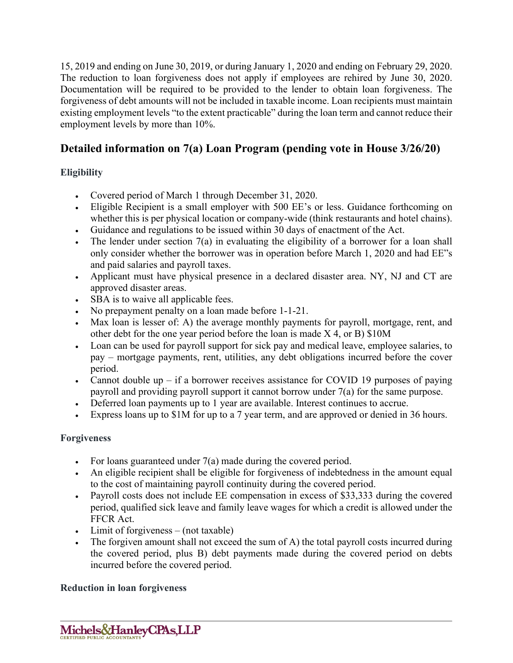15, 2019 and ending on June 30, 2019, or during January 1, 2020 and ending on February 29, 2020. The reduction to loan forgiveness does not apply if employees are rehired by June 30, 2020. Documentation will be required to be provided to the lender to obtain loan forgiveness. The forgiveness of debt amounts will not be included in taxable income. Loan recipients must maintain existing employment levels "to the extent practicable" during the loan term and cannot reduce their employment levels by more than 10%.

## **Detailed information on 7(a) Loan Program (pending vote in House 3/26/20)**

#### **Eligibility**

- Covered period of March 1 through December 31, 2020.
- Eligible Recipient is a small employer with 500 EE's or less. Guidance forthcoming on whether this is per physical location or company-wide (think restaurants and hotel chains).
- Guidance and regulations to be issued within 30 days of enactment of the Act.
- The lender under section 7(a) in evaluating the eligibility of a borrower for a loan shall only consider whether the borrower was in operation before March 1, 2020 and had EE"s and paid salaries and payroll taxes.
- Applicant must have physical presence in a declared disaster area. NY, NJ and CT are approved disaster areas.
- SBA is to waive all applicable fees.
- No prepayment penalty on a loan made before 1-1-21.
- Max loan is lesser of: A) the average monthly payments for payroll, mortgage, rent, and other debt for the one year period before the loan is made X 4, or B) \$10M
- Loan can be used for payroll support for sick pay and medical leave, employee salaries, to pay – mortgage payments, rent, utilities, any debt obligations incurred before the cover period.
- Cannot double up  $-$  if a borrower receives assistance for COVID 19 purposes of paying payroll and providing payroll support it cannot borrow under 7(a) for the same purpose.
- Deferred loan payments up to 1 year are available. Interest continues to accrue.
- Express loans up to \$1M for up to a 7 year term, and are approved or denied in 36 hours.

#### **Forgiveness**

- For loans guaranteed under  $7(a)$  made during the covered period.
- An eligible recipient shall be eligible for forgiveness of indebtedness in the amount equal to the cost of maintaining payroll continuity during the covered period.
- Payroll costs does not include EE compensation in excess of \$33,333 during the covered period, qualified sick leave and family leave wages for which a credit is allowed under the FFCR Act.
- Limit of forgiveness (not taxable)
- The forgiven amount shall not exceed the sum of A) the total payroll costs incurred during the covered period, plus B) debt payments made during the covered period on debts incurred before the covered period.

#### **Reduction in loan forgiveness**

Michels&HanleyCPAs,LLP CERTIFIED PUBLIC ACCOUNTANT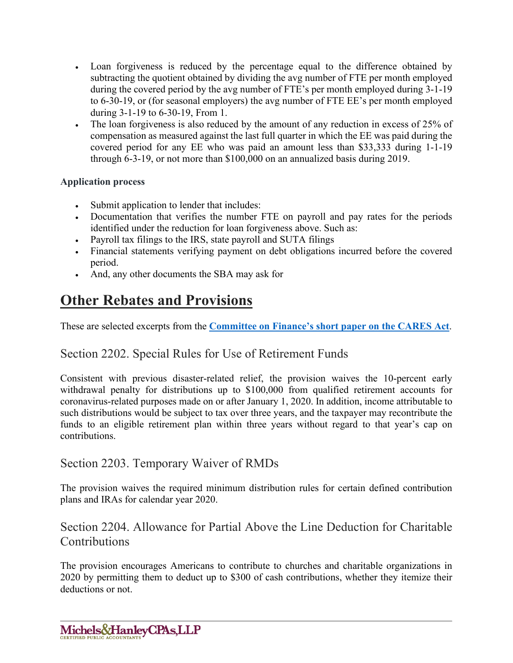- Loan forgiveness is reduced by the percentage equal to the difference obtained by subtracting the quotient obtained by dividing the avg number of FTE per month employed during the covered period by the avg number of FTE's per month employed during 3-1-19 to 6-30-19, or (for seasonal employers) the avg number of FTE EE's per month employed during 3-1-19 to 6-30-19, From 1.
- The loan forgiveness is also reduced by the amount of any reduction in excess of 25% of compensation as measured against the last full quarter in which the EE was paid during the covered period for any EE who was paid an amount less than \$33,333 during 1-1-19 through 6-3-19, or not more than \$100,000 on an annualized basis during 2019.

#### **Application process**

- Submit application to lender that includes:
- Documentation that verifies the number FTE on payroll and pay rates for the periods identified under the reduction for loan forgiveness above. Such as:
- Payroll tax filings to the IRS, state payroll and SUTA filings
- Financial statements verifying payment on debt obligations incurred before the covered period.
- And, any other documents the SBA may ask for

## **Other Rebates and Provisions**

These are selected excerpts from the **[Committee on Finance's short paper on the CARES Act](https://www.finance.senate.gov/imo/media/doc/CARES%20Act%20Section-by-Section%20(Tax,%20Unemployment%20Insurance).pdf)**.

### Section 2202. Special Rules for Use of Retirement Funds

Consistent with previous disaster-related relief, the provision waives the 10-percent early withdrawal penalty for distributions up to \$100,000 from qualified retirement accounts for coronavirus-related purposes made on or after January 1, 2020. In addition, income attributable to such distributions would be subject to tax over three years, and the taxpayer may recontribute the funds to an eligible retirement plan within three years without regard to that year's cap on contributions.

#### Section 2203. Temporary Waiver of RMDs

The provision waives the required minimum distribution rules for certain defined contribution plans and IRAs for calendar year 2020.

### Section 2204. Allowance for Partial Above the Line Deduction for Charitable Contributions

The provision encourages Americans to contribute to churches and charitable organizations in 2020 by permitting them to deduct up to \$300 of cash contributions, whether they itemize their deductions or not.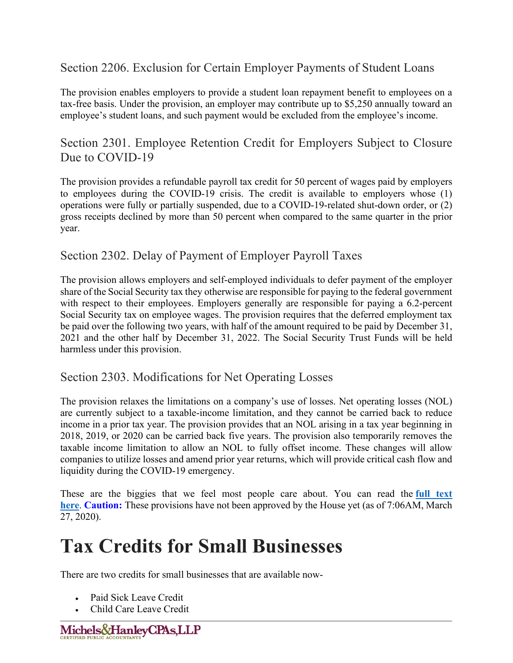## Section 2206. Exclusion for Certain Employer Payments of Student Loans

The provision enables employers to provide a student loan repayment benefit to employees on a tax-free basis. Under the provision, an employer may contribute up to \$5,250 annually toward an employee's student loans, and such payment would be excluded from the employee's income.

### Section 2301. Employee Retention Credit for Employers Subject to Closure Due to COVID-19

The provision provides a refundable payroll tax credit for 50 percent of wages paid by employers to employees during the COVID-19 crisis. The credit is available to employers whose (1) operations were fully or partially suspended, due to a COVID-19-related shut-down order, or (2) gross receipts declined by more than 50 percent when compared to the same quarter in the prior year.

### Section 2302. Delay of Payment of Employer Payroll Taxes

The provision allows employers and self-employed individuals to defer payment of the employer share of the Social Security tax they otherwise are responsible for paying to the federal government with respect to their employees. Employers generally are responsible for paying a 6.2-percent Social Security tax on employee wages. The provision requires that the deferred employment tax be paid over the following two years, with half of the amount required to be paid by December 31, 2021 and the other half by December 31, 2022. The Social Security Trust Funds will be held harmless under this provision.

#### Section 2303. Modifications for Net Operating Losses

The provision relaxes the limitations on a company's use of losses. Net operating losses (NOL) are currently subject to a taxable-income limitation, and they cannot be carried back to reduce income in a prior tax year. The provision provides that an NOL arising in a tax year beginning in 2018, 2019, or 2020 can be carried back five years. The provision also temporarily removes the taxable income limitation to allow an NOL to fully offset income. These changes will allow companies to utilize losses and amend prior year returns, which will provide critical cash flow and liquidity during the COVID-19 emergency.

These are the biggies that we feel most people care about. You can read the **[full text](https://www.finance.senate.gov/imo/media/doc/CARES%20Act%20Section-by-Section%20(Tax,%20Unemployment%20Insurance).pdf)  [here](https://www.finance.senate.gov/imo/media/doc/CARES%20Act%20Section-by-Section%20(Tax,%20Unemployment%20Insurance).pdf)**. **Caution:** These provisions have not been approved by the House yet (as of 7:06AM, March 27, 2020).

## **Tax Credits for Small Businesses**

There are two credits for small businesses that are available now-

- Paid Sick Leave Credit
- Child Care Leave Credit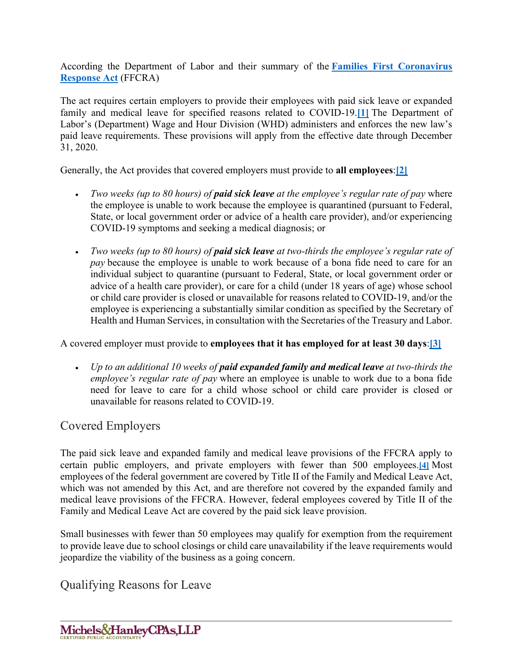According the Department of Labor and their summary of the **[Families First Coronavirus](https://www.dol.gov/agencies/whd/pandemic/ffcra-employer-paid-leave)  [Response Act](https://www.dol.gov/agencies/whd/pandemic/ffcra-employer-paid-leave)** (FFCRA)

The act requires certain employers to provide their employees with paid sick leave or expanded family and medical leave for specified reasons related to COVID-19.**[\[1\]](https://www.dol.gov/agencies/whd/pandemic/ffcra-employer-paid-leave#_ftn1)** The Department of Labor's (Department) Wage and Hour Division (WHD) administers and enforces the new law's paid leave requirements. These provisions will apply from the effective date through December 31, 2020.

Generally, the Act provides that covered employers must provide to **all employees**:**[\[2\]](https://www.dol.gov/agencies/whd/pandemic/ffcra-employer-paid-leave#_ftn2)**

- *Two weeks (up to 80 hours) of paid sick leave at the employee's regular rate of pay* where the employee is unable to work because the employee is quarantined (pursuant to Federal, State, or local government order or advice of a health care provider), and/or experiencing COVID-19 symptoms and seeking a medical diagnosis; or
- *Two weeks (up to 80 hours) of paid sick leave at two-thirds the employee's regular rate of pay* because the employee is unable to work because of a bona fide need to care for an individual subject to quarantine (pursuant to Federal, State, or local government order or advice of a health care provider), or care for a child (under 18 years of age) whose school or child care provider is closed or unavailable for reasons related to COVID-19, and/or the employee is experiencing a substantially similar condition as specified by the Secretary of Health and Human Services, in consultation with the Secretaries of the Treasury and Labor.

A covered employer must provide to **employees that it has employed for at least 30 days**:**[\[3\]](https://www.dol.gov/agencies/whd/pandemic/ffcra-employer-paid-leave#_ftn3)**

• *Up to an additional 10 weeks of paid expanded family and medical leave at two-thirds the employee's regular rate of pay* where an employee is unable to work due to a bona fide need for leave to care for a child whose school or child care provider is closed or unavailable for reasons related to COVID-19.

## Covered Employers

The paid sick leave and expanded family and medical leave provisions of the FFCRA apply to certain public employers, and private employers with fewer than 500 employees.**[\[4\]](https://www.dol.gov/agencies/whd/pandemic/ffcra-employer-paid-leave#_ftn4)** Most employees of the federal government are covered by Title II of the Family and Medical Leave Act, which was not amended by this Act, and are therefore not covered by the expanded family and medical leave provisions of the FFCRA. However, federal employees covered by Title II of the Family and Medical Leave Act are covered by the paid sick leave provision.

Small businesses with fewer than 50 employees may qualify for exemption from the requirement to provide leave due to school closings or child care unavailability if the leave requirements would jeopardize the viability of the business as a going concern.

Qualifying Reasons for Leave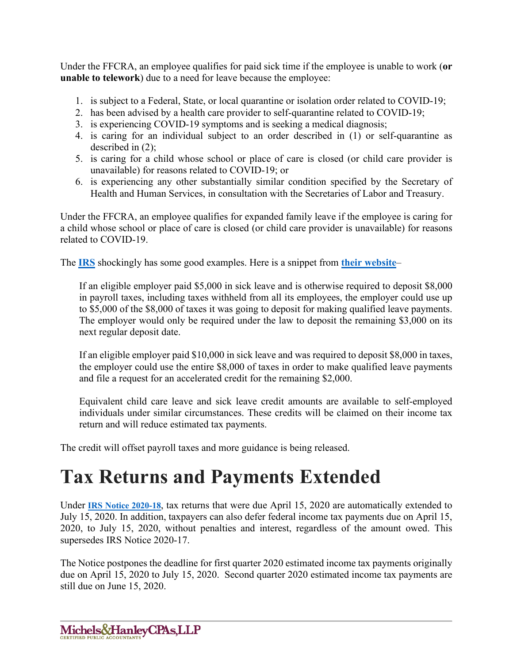Under the FFCRA, an employee qualifies for paid sick time if the employee is unable to work (**or unable to telework**) due to a need for leave because the employee:

- 1. is subject to a Federal, State, or local quarantine or isolation order related to COVID-19;
- 2. has been advised by a health care provider to self-quarantine related to COVID-19;
- 3. is experiencing COVID-19 symptoms and is seeking a medical diagnosis;
- 4. is caring for an individual subject to an order described in (1) or self-quarantine as described in (2);
- 5. is caring for a child whose school or place of care is closed (or child care provider is unavailable) for reasons related to COVID-19; or
- 6. is experiencing any other substantially similar condition specified by the Secretary of Health and Human Services, in consultation with the Secretaries of Labor and Treasury.

Under the FFCRA, an employee qualifies for expanded family leave if the employee is caring for a child whose school or place of care is closed (or child care provider is unavailable) for reasons related to COVID-19.

The **[IRS](https://www.irs.gov/newsroom/treasury-irs-and-labor-announce-plan-to-implement-coronavirus-related-paid-leave-for-workers-and-tax-credits-for-small-and-midsize-businesses-to-swiftly-recover-the-cost-of-providing-coronavirus)** shockingly has some good examples. Here is a snippet from **[their website](https://www.irs.gov/newsroom/treasury-irs-and-labor-announce-plan-to-implement-coronavirus-related-paid-leave-for-workers-and-tax-credits-for-small-and-midsize-businesses-to-swiftly-recover-the-cost-of-providing-coronavirus)**–

If an eligible employer paid \$5,000 in sick leave and is otherwise required to deposit \$8,000 in payroll taxes, including taxes withheld from all its employees, the employer could use up to \$5,000 of the \$8,000 of taxes it was going to deposit for making qualified leave payments. The employer would only be required under the law to deposit the remaining \$3,000 on its next regular deposit date.

If an eligible employer paid \$10,000 in sick leave and was required to deposit \$8,000 in taxes, the employer could use the entire \$8,000 of taxes in order to make qualified leave payments and file a request for an accelerated credit for the remaining \$2,000.

Equivalent child care leave and sick leave credit amounts are available to self-employed individuals under similar circumstances. These credits will be claimed on their income tax return and will reduce estimated tax payments.

The credit will offset payroll taxes and more guidance is being released.

## **Tax Returns and Payments Extended**

Under **[IRS Notice 2020-18](https://www.irs.gov/pub/irs-drop/n-20-18.pdf)**, tax returns that were due April 15, 2020 are automatically extended to July 15, 2020. In addition, taxpayers can also defer federal income tax payments due on April 15, 2020, to July 15, 2020, without penalties and interest, regardless of the amount owed. This supersedes IRS Notice 2020-17.

The Notice postpones the deadline for first quarter 2020 estimated income tax payments originally due on April 15, 2020 to July 15, 2020. Second quarter 2020 estimated income tax payments are still due on June 15, 2020.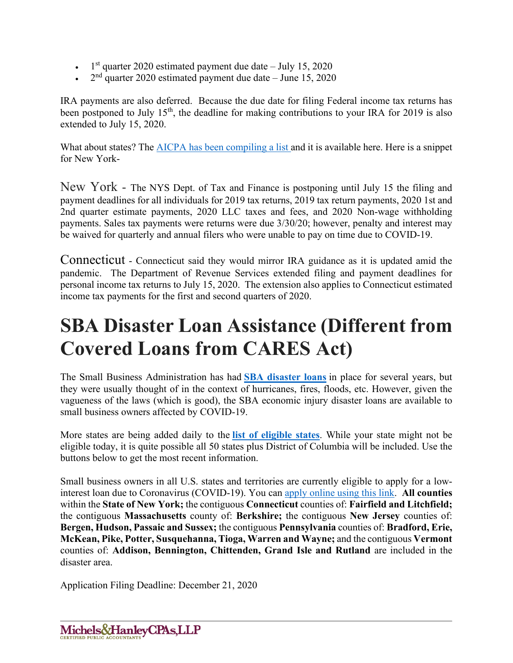- $\cdot$  1<sup>st</sup> quarter 2020 estimated payment due date July 15, 2020
- $2<sup>nd</sup>$  quarter 2020 estimated payment due date June 15, 2020

IRA payments are also deferred. Because the due date for filing Federal income tax returns has been postponed to July  $15<sup>th</sup>$ , the deadline for making contributions to your IRA for 2019 is also extended to July 15, 2020.

What about states? The **AICPA** has been compiling a list and it is available here. Here is a snippet for New York-

New York - The NYS Dept. of Tax and Finance is postponing until July 15 the filing and payment deadlines for all individuals for 2019 tax returns, 2019 tax return payments, 2020 1st and 2nd quarter estimate payments, 2020 LLC taxes and fees, and 2020 Non-wage withholding payments. Sales tax payments were returns were due 3/30/20; however, penalty and interest may be waived for quarterly and annual filers who were unable to pay on time due to COVID-19.

Connecticut - Connecticut said they would mirror IRA guidance as it is updated amid the pandemic. The Department of Revenue Services extended filing and payment deadlines for personal income tax returns to July 15, 2020. The extension also applies to Connecticut estimated income tax payments for the first and second quarters of 2020.

## **SBA Disaster Loan Assistance (Different from Covered Loans from CARES Act)**

The Small Business Administration has had **[SBA disaster loans](https://www.sba.gov/page/coronavirus-covid-19-small-business-guidance-loan-resources)** in place for several years, but they were usually thought of in the context of hurricanes, fires, floods, etc. However, given the vagueness of the laws (which is good), the SBA economic injury disaster loans are available to small business owners affected by COVID-19.

More states are being added daily to the **[list of eligible states](https://disasterloan.sba.gov/ela/Declarations/Index)**. While your state might not be eligible today, it is quite possible all 50 states plus District of Columbia will be included. Use the buttons below to get the most recent information.

Small business owners in all U.S. states and territories are currently eligible to apply for a lowinterest loan due to Coronavirus (COVID-19). You can [apply online using this link.](https://disasterloan.sba.gov/ela/Declarations/Index) **All counties**  within the **State of New York;** the contiguous **Connecticut** counties of: **Fairfield and Litchfield;**  the contiguous **Massachusetts** county of: **Berkshire;** the contiguous **New Jersey** counties of: **Bergen, Hudson, Passaic and Sussex;** the contiguous **Pennsylvania** counties of: **Bradford, Erie, McKean, Pike, Potter, Susquehanna, Tioga, Warren and Wayne;** and the contiguous **Vermont**  counties of: **Addison, Bennington, Chittenden, Grand Isle and Rutland** are included in the disaster area.

Application Filing Deadline: December 21, 2020